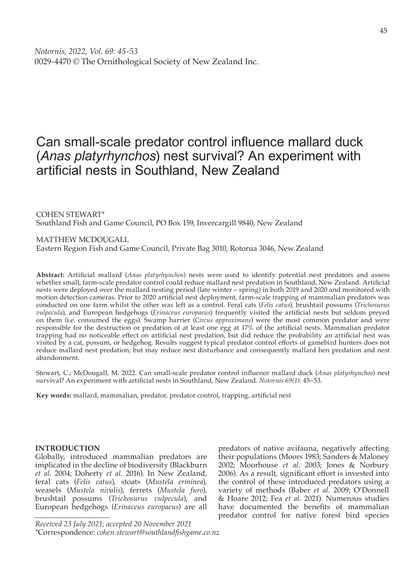# Can small-scale predator control influence mallard duck (*Anas platyrhynchos*) nest survival? An experiment with artificial nests in Southland, New Zealand

COHEN STEWART\* Southland Fish and Game Council, PO Box 159, Invercargill 9840, New Zealand

MATTHEW MCDOUGALL Eastern Region Fish and Game Council, Private Bag 3010, Rotorua 3046, New Zealand

**Abstract:** Artificial mallard (*Anas platyrhynchos*) nests were used to identify potential nest predators and assess whether small, farm-scale predator control could reduce mallard nest predation in Southland, New Zealand. Artificial nests were deployed over the mallard nesting period (late winter – spring) in both 2019 and 2020 and monitored with motion detection cameras. Prior to 2020 artificial nest deployment, farm-scale trapping of mammalian predators was conducted on one farm whilst the other was left as a control. Feral cats (*Felis catus*), brushtail possums (*Trichosurus vulpecula*), and European hedgehogs (*Erinaceus europaeus*) frequently visited the artificial nests but seldom preyed on them (i.e. consumed the eggs). Swamp harrier (*Circus approximans*) were the most common predator and were responsible for the destruction or predation of at least one egg at 17% of the artificial nests. Mammalian predator trapping had no noticeable effect on artificial nest predation, but did reduce the probability an artificial nest was visited by a cat, possum, or hedgehog. Results suggest typical predator control efforts of gamebird hunters does not reduce mallard nest predation, but may reduce nest disturbance and consequently mallard hen predation and nest abandonment.

Stewart, C.; McDougall, M. 2022. Can small-scale predator control influence mallard duck (*Anas platyrhynchos*) nest survival? An experiment with artificial nests in Southland, New Zealand. *Notornis 69(1)*: 45–53.

**Key words:** mallard, mammalian, predator, predator control, trapping, artificial nest

## **INTRODUCTION**

Globally, introduced mammalian predators are implicated in the decline of biodiversity (Blackburn *et al*. 2004; Doherty *et al*. 2016). In New Zealand, feral cats (*Felis catus*), stoats (*Mustela erminea*), weasels (*Mustela nivalis*), ferrets (*Mustela furo*), brushtail possums (*Trichosurus vulpecula*), and European hedgehogs (*Erinaceus europaeus*) are all

predators of native avifauna, negatively affecting their populations (Moors 1983; Sanders & Maloney 2002; Moorhouse *et al*. 2003; Jones & Norbury 2006). As a result, significant effort is invested into the control of these introduced predators using a variety of methods (Baber *et al*. 2009; O'Donnell & Hoare 2012; Fea *et al*. 2021). Numerous studies have documented the benefits of mammalian predator control for native forest bird species

*Received 23 July 2021; accepted 20 November 2021* \*Correspondence: *cohen.stewart@southlandfishgame.co.nz*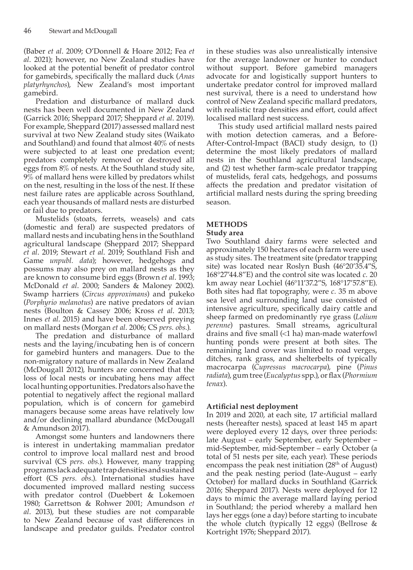(Baber *et al*. 2009; O'Donnell & Hoare 2012; Fea *et al*. 2021); however, no New Zealand studies have looked at the potential benefit of predator control for gamebirds, specifically the mallard duck (*Anas platyrhynchos*), New Zealand's most important gamebird.

Predation and disturbance of mallard duck nests has been well documented in New Zealand (Garrick 2016; Sheppard 2017; Sheppard *et al*. 2019). For example, Sheppard (2017) assessed mallard nest survival at two New Zealand study sites (Waikato and Southland) and found that almost 40% of nests were subjected to at least one predation event; predators completely removed or destroyed all eggs from 8% of nests. At the Southland study site, 9% of mallard hens were killed by predators whilst on the nest, resulting in the loss of the nest. If these nest failure rates are applicable across Southland, each year thousands of mallard nests are disturbed or fail due to predators.

Mustelids (stoats, ferrets, weasels) and cats (domestic and feral) are suspected predators of mallard nests and incubating hens in the Southland agricultural landscape (Sheppard 2017; Sheppard *et al*. 2019; Stewart *et al*. 2019; Southland Fish and Game *unpubl. data*); however, hedgehogs and possums may also prey on mallard nests as they are known to consume bird eggs (Brown *et al*. 1993; McDonald *et al*. 2000; Sanders & Maloney 2002). Swamp harriers (*Circus approximans*) and pukeko (*Porphyrio melanotus*) are native predators of avian nests (Boulton & Cassey 2006; Kross *et al*. 2013; Innes *et al*. 2015) and have been observed preying on mallard nests (Morgan *et al*. 2006; CS *pers. obs.*).

The predation and disturbance of mallard nests and the laying/incubating hen is of concern for gamebird hunters and managers. Due to the non-migratory nature of mallards in New Zealand (McDougall 2012), hunters are concerned that the loss of local nests or incubating hens may affect local hunting opportunities. Predators also have the potential to negatively affect the regional mallard population, which is of concern for gamebird managers because some areas have relatively low and/or declining mallard abundance (McDougall & Amundson 2017).

Amongst some hunters and landowners there is interest in undertaking mammalian predator control to improve local mallard nest and brood survival (CS *pers. obs.*). However, many trapping programs lack adequate trap densities and sustained effort (CS *pers. obs*.). International studies have documented improved mallard nesting success with predator control (Duebbert & Lokemoen 1980; Garrettson & Rohwer 2001; Amundson *et al*. 2013), but these studies are not comparable to New Zealand because of vast differences in landscape and predator guilds. Predator control

in these studies was also unrealistically intensive for the average landowner or hunter to conduct without support. Before gamebird managers advocate for and logistically support hunters to undertake predator control for improved mallard nest survival, there is a need to understand how control of New Zealand specific mallard predators, with realistic trap densities and effort, could affect localised mallard nest success.

This study used artificial mallard nests paired with motion detection cameras, and a Before-After-Control-Impact (BACI) study design, to (1) determine the most likely predators of mallard nests in the Southland agricultural landscape, and (2) test whether farm-scale predator trapping of mustelids, feral cats, hedgehogs, and possums affects the predation and predator visitation of artificial mallard nests during the spring breeding season.

## **METHODS**

## **Study area**

Two Southland dairy farms were selected and approximately 150 hectares of each farm were used as study sites. The treatment site (predator trapping site) was located near Roslyn Bush (46°20'35.4"S, 168°27'44.8"E) and the control site was located *c.* 20 km away near Lochiel (46°11'37.2"S, 168°17'57.8''E). Both sites had flat topography, were *c.* 35 m above sea level and surrounding land use consisted of intensive agriculture, specifically dairy cattle and sheep farmed on predominantly rye grass (*Lolium perenne*) pastures. Small streams, agricultural drains and five small (<1 ha) man-made waterfowl hunting ponds were present at both sites. The remaining land cover was limited to road verges, ditches, rank grass, and shelterbelts of typically macrocarpa (*Cupressus macrocarpa*), pine (*Pinus radiata*), gum tree (*Eucalyptus* spp.), or flax (*Phormium tenax*).

## **Artificial nest deployment**

In 2019 and 2020, at each site, 17 artificial mallard nests (hereafter nests), spaced at least 145 m apart were deployed every 12 days, over three periods: late August – early September, early September – mid-September, mid-September – early October (a total of 51 nests per site, each year). These periods encompass the peak nest initiation (28<sup>th</sup> of August) and the peak nesting period (late-August – early October) for mallard ducks in Southland (Garrick 2016; Sheppard 2017). Nests were deployed for 12 days to mimic the average mallard laying period in Southland; the period whereby a mallard hen lays her eggs (one a day) before starting to incubate the whole clutch (typically 12 eggs) (Bellrose & Kortright 1976; Sheppard 2017).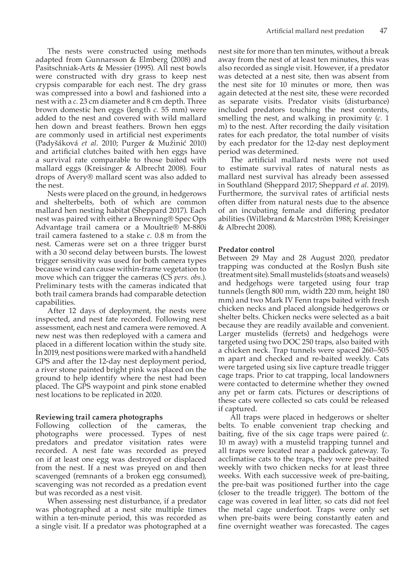The nests were constructed using methods adapted from Gunnarsson & Elmberg (2008) and Pasitschniak-Arts & Messier (1995). All nest bowls were constructed with dry grass to keep nest crypsis comparable for each nest. The dry grass was compressed into a bowl and fashioned into a nest with a *c.* 23 cm diameter and 8 cm depth. Three brown domestic hen eggs (length *c.* 55 mm) were added to the nest and covered with wild mallard hen down and breast feathers. Brown hen eggs are commonly used in artificial nest experiments (Padyšáková *et al*. 2010; Purger & Mužinić 2010) and artificial clutches baited with hen eggs have a survival rate comparable to those baited with mallard eggs (Kreisinger & Albrecht 2008). Four drops of Avery® mallard scent was also added to the nest.

Nests were placed on the ground, in hedgerows and shelterbelts, both of which are common mallard hen nesting habitat (Sheppard 2017). Each nest was paired with either a Browning® Spec Ops Advantage trail camera or a Moultrie® M-880i trail camera fastened to a stake *c.* 0.8 m from the nest. Cameras were set on a three trigger burst with a 30 second delay between bursts. The lowest trigger sensitivity was used for both camera types because wind can cause within-frame vegetation to move which can trigger the cameras (CS *pers. obs.*). Preliminary tests with the cameras indicated that both trail camera brands had comparable detection capabilities.

After 12 days of deployment, the nests were inspected, and nest fate recorded. Following nest assessment, each nest and camera were removed. A new nest was then redeployed with a camera and placed in a different location within the study site. In 2019, nest positions were marked with a handheld GPS and after the 12-day nest deployment period, a river stone painted bright pink was placed on the ground to help identify where the nest had been placed. The GPS waypoint and pink stone enabled nest locations to be replicated in 2020.

## **Reviewing trail camera photographs**

Following collection of the cameras, the photographs were processed. Types of nest predators and predator visitation rates were recorded. A nest fate was recorded as preyed on if at least one egg was destroyed or displaced from the nest. If a nest was preyed on and then scavenged (remnants of a broken egg consumed), scavenging was not recorded as a predation event but was recorded as a nest visit.

When assessing nest disturbance, if a predator was photographed at a nest site multiple times within a ten-minute period, this was recorded as a single visit. If a predator was photographed at a

nest site for more than ten minutes, without a break away from the nest of at least ten minutes, this was also recorded as single visit. However, if a predator was detected at a nest site, then was absent from the nest site for 10 minutes or more, then was again detected at the nest site, these were recorded as separate visits. Predator visits (disturbance) included predators touching the nest contents, smelling the nest, and walking in proximity (*c.* 1 m) to the nest. After recording the daily visitation rates for each predator, the total number of visits by each predator for the 12-day nest deployment period was determined.

The artificial mallard nests were not used to estimate survival rates of natural nests as mallard nest survival has already been assessed in Southland (Sheppard 2017; Sheppard *et al*. 2019). Furthermore, the survival rates of artificial nests often differ from natural nests due to the absence of an incubating female and differing predator abilities (Willebrand & Marcström 1988; Kreisinger & Albrecht 2008).

#### **Predator control**

Between 29 May and 28 August 2020, predator trapping was conducted at the Roslyn Bush site (treatment site). Small mustelids (stoats and weasels) and hedgehogs were targeted using four trap tunnels (length 800 mm, width 220 mm, height 180 mm) and two Mark IV Fenn traps baited with fresh chicken necks and placed alongside hedgerows or shelter belts. Chicken necks were selected as a bait because they are readily available and convenient. Larger mustelids (ferrets) and hedgehogs were targeted using two DOC 250 traps, also baited with a chicken neck. Trap tunnels were spaced 260–505 m apart and checked and re-baited weekly. Cats were targeted using six live capture treadle trigger cage traps. Prior to cat trapping, local landowners were contacted to determine whether they owned any pet or farm cats. Pictures or descriptions of these cats were collected so cats could be released if captured.

All traps were placed in hedgerows or shelter belts. To enable convenient trap checking and baiting, five of the six cage traps were paired (*c.* 10 m away) with a mustelid trapping tunnel and all traps were located near a paddock gateway. To acclimatise cats to the traps, they were pre-baited weekly with two chicken necks for at least three weeks. With each successive week of pre-baiting, the pre-bait was positioned further into the cage (closer to the treadle trigger). The bottom of the cage was covered in leaf litter, so cats did not feel the metal cage underfoot. Traps were only set when pre-baits were being constantly eaten and fine overnight weather was forecasted. The cages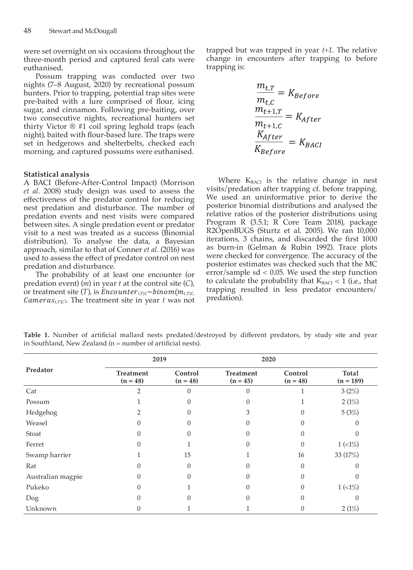were set overnight on six occasions throughout the three-month period and captured feral cats were euthanised.

Possum trapping was conducted over two nights (7–8 August, 2020) by recreational possum hunters. Prior to trapping, potential trap sites were pre-baited with a lure comprised of flour, icing sugar, and cinnamon. Following pre-baiting, over two consecutive nights, recreational hunters set thirty Victor ® #1 coil spring leghold traps (each night), baited with flour-based lure. The traps were set in hedgerows and shelterbelts, checked each morning, and captured possums were euthanised.

#### **Statistical analysis**

A BACI (Before-After-Control Impact) (Morrison *et al*. 2008) study design was used to assess the effectiveness of the predator control for reducing nest predation and disturbance. The number of predation events and nest visits were compared between sites. A single predation event or predator visit to a nest was treated as a success (Binomial distribution). To analyse the data, a Bayesian approach, similar to that of Conner *et al*. (2016) was used to assess the effect of predator control on nest predation and disturbance.

The probability of at least one encounter (or predation event) (*m*) in year *t* at the control site (*C*), or treatment site  $(T)$ , is *Encounter*<sub>tric</sub> $\sim binom(m_{t,TC})$ *Cameras*<sub> $t$ , $T(c)$ . The treatment site in year *t* was not</sub> trapped but was trapped in year *t+1*. The relative change in encounters after trapping to before trapping is:

$$
\frac{m_{t,T}}{m_{t,C}} = K_{Before}
$$

$$
\frac{m_{t+1,T}}{m_{t+1,C}} = K_{After}
$$

$$
\frac{K_{After}}{K_{Before}} = K_{BACI}
$$

Where  $K<sub>BACI</sub>$  is the relative change in nest visits/predation after trapping cf. before trapping. We used an uninformative prior to derive the posterior binomial distributions and analysed the relative ratios of the posterior distributions using Program R (3.5.1; R Core Team 2018), package R2OpenBUGS (Sturtz et al. 2005). We ran 10,000 iterations, 3 chains, and discarded the first 1000 as burn-in (Gelman & Rubin 1992). Trace plots were checked for convergence. The accuracy of the posterior estimates was checked such that the MC error/sample sd < 0.05. We used the step function to calculate the probability that  $K_{BACI} < 1$  (i.e., that trapping resulted in less predator encounters/ predation).

|                   | 2019                                                    |          | 2020                           |                       |                                        |
|-------------------|---------------------------------------------------------|----------|--------------------------------|-----------------------|----------------------------------------|
| Predator          | <b>Treatment</b><br>Control<br>$(n = 48)$<br>$(n = 48)$ |          | <b>Treatment</b><br>$(n = 45)$ | Control<br>$(n = 48)$ | Total<br>$(n = 189)$                   |
| Cat               | 2                                                       | $\Omega$ | $\Omega$                       |                       | 3(2%)                                  |
| Possum            |                                                         | 0        | $\Omega$                       |                       | 2(1%)                                  |
| Hedgehog          |                                                         | 0        | 3                              | $\theta$              | 5(3%)                                  |
| Weasel            |                                                         |          | O                              |                       |                                        |
| Stoat             |                                                         |          | $\Omega$                       |                       | $\left($                               |
| Ferret            |                                                         |          | O                              | $\Omega$              | $1 \left( \langle 1\% \rangle \right)$ |
| Swamp harrier     |                                                         | 15       |                                | 16                    | 33 (17%)                               |
| Rat               |                                                         | $\Omega$ | $\Omega$                       | $\Omega$              | $\left($                               |
| Australian magpie |                                                         | 0        | $\Omega$                       | 0                     | $\left( \right)$                       |
| Pukeko            |                                                         |          | $\Omega$                       | $\Omega$              | $1 (1\%)$                              |
| Dog               |                                                         |          | 0                              |                       | $\Omega$                               |
| Unknown           |                                                         |          |                                |                       | 2(1%)                                  |

**Table 1.** Number of artificial mallard nests predated/destroyed by different predators, by study site and year in Southland, New Zealand ( $n =$  number of artificial nests).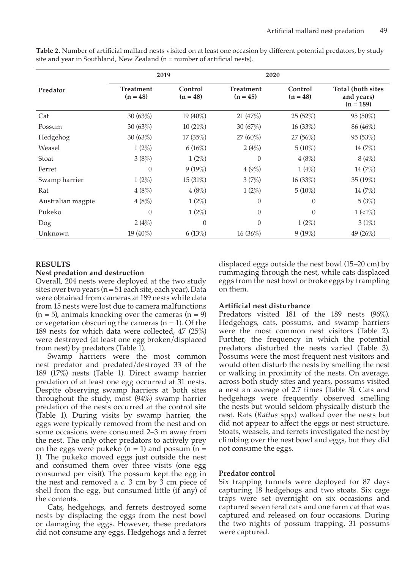|                   | 2019                           |                       | 2020                           |                       |                                                        |
|-------------------|--------------------------------|-----------------------|--------------------------------|-----------------------|--------------------------------------------------------|
| Predator          | <b>Treatment</b><br>$(n = 48)$ | Control<br>$(n = 48)$ | <b>Treatment</b><br>$(n = 45)$ | Control<br>$(n = 48)$ | <b>Total (both sites)</b><br>and years)<br>$(n = 189)$ |
| Cat               | 30(63%)                        | 19 (40%)              | 21(47%)                        | 25(52%)               | 95 (50%)                                               |
| Possum            | 30(63%)                        | 10(21%)               | 30(67%)                        | 16(33%)               | 86 (46%)                                               |
| Hedgehog          | 30(63%)                        | 17(35%)               | $27(60\%)$                     | 27 (56%)              | 95 (53%)                                               |
| Weasel            | $1(2\%)$                       | 6(16%)                | 2(4%)                          | $5(10\%)$             | 14(7%)                                                 |
| Stoat             | 3(8%)                          | $1(2\%)$              | $\Omega$                       | 4(8%)                 | 8(4%)                                                  |
| Ferret            | 0                              | $9(19\%)$             | 4(9%)                          | 1(4%)                 | 14(7%)                                                 |
| Swamp harrier     | $1(2\%)$                       | 15(31%)               | 3(7%)                          | 16(33%)               | 35 (19%)                                               |
| Rat               | 4(8%)                          | 4(8%)                 | $1(2\%)$                       | $5(10\%)$             | 14(7%)                                                 |
| Australian magpie | 4(8%)                          | $1(2\%)$              | 0                              | $\mathbf{0}$          | 5(3%)                                                  |
| Pukeko            | $\Omega$                       | $1(2\%)$              | $\theta$                       | $\Omega$              | $1 \left( \langle 1\% \rangle \right)$                 |
| Dog               | 2(4%)                          | $\Omega$              | $\theta$                       | $1(2\%)$              | 3(1%)                                                  |
| Unknown           | 19 (40%)                       | 6(13%)                | 16(36%)                        | 9(19%)                | 49 (26%)                                               |

**Table 2.** Number of artificial mallard nests visited on at least one occasion by different potential predators, by study site and year in Southland, New Zealand  $(n = number of artificial nets).$ 

#### **RESULTS**

#### **Nest predation and destruction**

Overall, 204 nests were deployed at the two study sites over two years (n = 51 each site, each year). Data were obtained from cameras at 189 nests while data from 15 nests were lost due to camera malfunctions  $(n = 5)$ , animals knocking over the cameras  $(n = 9)$ or vegetation obscuring the cameras  $(n = 1)$ . Of the 189 nests for which data were collected, 47 (25%) were destroyed (at least one egg broken/displaced from nest) by predators (Table 1).

Swamp harriers were the most common nest predator and predated/destroyed 33 of the 189 (17%) nests (Table 1). Direct swamp harrier predation of at least one egg occurred at 31 nests. Despite observing swamp harriers at both sites throughout the study, most (94%) swamp harrier predation of the nests occurred at the control site (Table 1). During visits by swamp harrier, the eggs were typically removed from the nest and on some occasions were consumed 2–3 m away from the nest. The only other predators to actively prey on the eggs were pukeko  $(n = 1)$  and possum  $(n = 1)$ 1). The pukeko moved eggs just outside the nest and consumed them over three visits (one egg consumed per visit). The possum kept the egg in the nest and removed a *c.* 3 cm by 3 cm piece of shell from the egg, but consumed little (if any) of the contents.

Cats, hedgehogs, and ferrets destroyed some nests by displacing the eggs from the nest bowl or damaging the eggs. However, these predators did not consume any eggs. Hedgehogs and a ferret displaced eggs outside the nest bowl (15–20 cm) by rummaging through the nest, while cats displaced eggs from the nest bowl or broke eggs by trampling on them.

#### **Artificial nest disturbance**

Predators visited 181 of the 189 nests (96%). Hedgehogs, cats, possums, and swamp harriers were the most common nest visitors (Table 2). Further, the frequency in which the potential predators disturbed the nests varied (Table 3). Possums were the most frequent nest visitors and would often disturb the nests by smelling the nest or walking in proximity of the nests. On average, across both study sites and years, possums visited a nest an average of 2.7 times (Table 3). Cats and hedgehogs were frequently observed smelling the nests but would seldom physically disturb the nest. Rats (*Rattus* spp.) walked over the nests but did not appear to affect the eggs or nest structure. Stoats, weasels, and ferrets investigated the nest by climbing over the nest bowl and eggs, but they did not consume the eggs.

#### **Predator control**

Six trapping tunnels were deployed for 87 days capturing 18 hedgehogs and two stoats. Six cage traps were set overnight on six occasions and captured seven feral cats and one farm cat that was captured and released on four occasions. During the two nights of possum trapping, 31 possums were captured.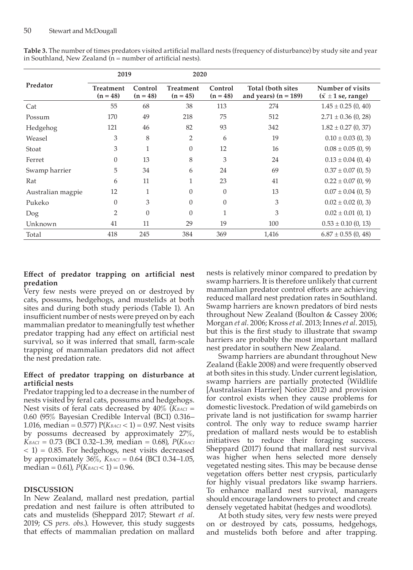| Predator          | 2019                           |                       | 2020                           |                       |                                                    |                                                                |
|-------------------|--------------------------------|-----------------------|--------------------------------|-----------------------|----------------------------------------------------|----------------------------------------------------------------|
|                   | <b>Treatment</b><br>$(n = 48)$ | Control<br>$(n = 48)$ | <b>Treatment</b><br>$(n = 45)$ | Control<br>$(n = 48)$ | <b>Total (both sites</b><br>and years) $(n = 189)$ | Number of visits<br>$(\bar{x} \pm 1 \text{ se}, \text{range})$ |
| Cat               | 55                             | 68                    | 38                             | 113                   | 274                                                | $1.45 \pm 0.25$ (0, 40)                                        |
| Possum            | 170                            | 49                    | 218                            | 75                    | 512                                                | $2.71 \pm 0.36$ (0, 28)                                        |
| Hedgehog          | 121                            | 46                    | 82                             | 93                    | 342                                                | $1.82 \pm 0.27$ (0, 37)                                        |
| Weasel            | 3                              | 8                     | $\overline{2}$                 | 6                     | 19                                                 | $0.10 \pm 0.03$ (0, 3)                                         |
| Stoat             | 3                              | $\mathbf{1}$          | $\Omega$                       | 12                    | 16                                                 | $0.08 \pm 0.05$ (0, 9)                                         |
| Ferret            | $\mathbf{0}$                   | 13                    | 8                              | 3                     | 24                                                 | $0.13 \pm 0.04$ (0, 4)                                         |
| Swamp harrier     | 5                              | 34                    | 6                              | 24                    | 69                                                 | $0.37 \pm 0.07$ (0, 5)                                         |
| Rat               | 6                              | 11                    |                                | 23                    | 41                                                 | $0.22 \pm 0.07$ (0, 9)                                         |
| Australian magpie | 12                             | 1                     | $\Omega$                       | $\theta$              | 13                                                 | $0.07 \pm 0.04$ (0, 5)                                         |
| Pukeko            | $\Omega$                       | 3                     | $\Omega$                       | $\theta$              | 3                                                  | $0.02 \pm 0.02$ (0, 3)                                         |
| Dog               | $\overline{2}$                 | $\theta$              | $\theta$                       | 1                     | 3                                                  | $0.02 \pm 0.01$ (0, 1)                                         |
| Unknown           | 41                             | 11                    | 29                             | 19                    | 100                                                | $0.53 \pm 0.10$ (0, 13)                                        |
| Total             | 418                            | 245                   | 384                            | 369                   | 1,416                                              | $6.87 \pm 0.55$ (0, 48)                                        |

**Table 3.** The number of times predators visited artificial mallard nests (frequency of disturbance) by study site and year in Southland, New Zealand  $(n = number of artificial nets)$ .

## **Effect of predator trapping on artificial nest predation**

Very few nests were preyed on or destroyed by cats, possums, hedgehogs, and mustelids at both sites and during both study periods (Table 1). An insufficient number of nests were preyed on by each mammalian predator to meaningfully test whether predator trapping had any effect on artificial nest survival, so it was inferred that small, farm-scale trapping of mammalian predators did not affect the nest predation rate.

## **Effect of predator trapping on disturbance at artificial nests**

Predator trapping led to a decrease in the number of nests visited by feral cats, possums and hedgehogs. Nest visits of feral cats decreased by  $40\%$  (*KBACI* = 0.60 (95% Bayesian Credible Interval (BCI) 0.316– 1.016, median = 0.577) P(*KBACI* < 1) = 0.97. Nest visits by possums decreased by approximately 27%,  $K_{BACI} = 0.73$  (BCI 0.32–1.39, median = 0.68), *P*(*KBACI* < 1) = 0.85. For hedgehogs, nest visits decreased by approximately  $36\%$ ,  $K_{BACI} = 0.64$  (BCI 0.34–1.05, median = 0.61),  $P(K_{BACI} < 1) = 0.96$ .

## **DISCUSSION**

In New Zealand, mallard nest predation, partial predation and nest failure is often attributed to cats and mustelids (Sheppard 2017; Stewart *et al*. 2019; CS *pers. obs*.). However, this study suggests that effects of mammalian predation on mallard

nests is relatively minor compared to predation by swamp harriers. It is therefore unlikely that current mammalian predator control efforts are achieving reduced mallard nest predation rates in Southland. Swamp harriers are known predators of bird nests throughout New Zealand (Boulton & Cassey 2006; Morgan *et al*. 2006; Kross *et al*. 2013; Innes *et al*. 2015), but this is the first study to illustrate that swamp harriers are probably the most important mallard nest predator in southern New Zealand.

Swamp harriers are abundant throughout New Zealand (Eakle 2008) and were frequently observed at both sites in this study. Under current legislation, swamp harriers are partially protected (Wildlife [Australasian Harrier] Notice 2012) and provision for control exists when they cause problems for domestic livestock. Predation of wild gamebirds on private land is not justification for swamp harrier control. The only way to reduce swamp harrier predation of mallard nests would be to establish initiatives to reduce their foraging success. Sheppard (2017) found that mallard nest survival was higher when hens selected more densely vegetated nesting sites. This may be because dense vegetation offers better nest crypsis, particularly for highly visual predators like swamp harriers. To enhance mallard nest survival, managers should encourage landowners to protect and create densely vegetated habitat (hedges and woodlots).

At both study sites, very few nests were preyed on or destroyed by cats, possums, hedgehogs, and mustelids both before and after trapping.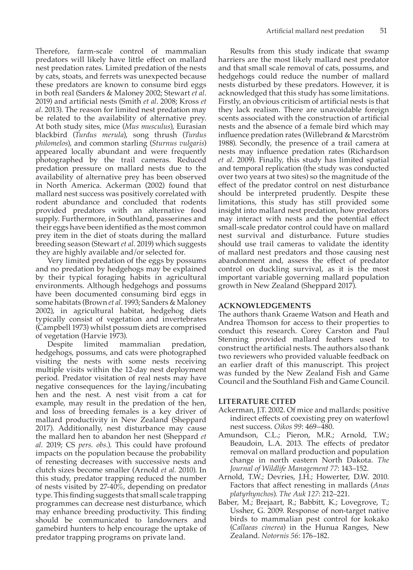Therefore, farm-scale control of mammalian predators will likely have little effect on mallard nest predation rates. Limited predation of the nests by cats, stoats, and ferrets was unexpected because these predators are known to consume bird eggs in both real (Sanders & Maloney 2002; Stewart *et al*. 2019) and artificial nests (Smith *et al*. 2008; Kross *et al*. 2013). The reason for limited nest predation may be related to the availability of alternative prey. At both study sites, mice (*Mus musculus*), Eurasian blackbird (*Turdus merula*), song thrush (*Turdus philomelos*), and common starling (*Sturnus vulgaris*) appeared locally abundant and were frequently photographed by the trail cameras. Reduced predation pressure on mallard nests due to the availability of alternative prey has been observed in North America. Ackerman (2002) found that mallard nest success was positively correlated with rodent abundance and concluded that rodents provided predators with an alternative food supply. Furthermore, in Southland, passerines and their eggs have been identified as the most common prey item in the diet of stoats during the mallard breeding season (Stewart *et al.* 2019) which suggests they are highly available and/or selected for.

Very limited predation of the eggs by possums and no predation by hedgehogs may be explained by their typical foraging habits in agricultural environments. Although hedgehogs and possums have been documented consuming bird eggs in some habitats (Brown *et al*. 1993; Sanders & Maloney 2002), in agricultural habitat, hedgehog diets typically consist of vegetation and invertebrates (Campbell 1973) whilst possum diets are comprised of vegetation (Harvie 1973).

limited mammalian predation, hedgehogs, possums, and cats were photographed visiting the nests with some nests receiving multiple visits within the 12-day nest deployment period. Predator visitation of real nests may have negative consequences for the laying/incubating hen and the nest. A nest visit from a cat for example, may result in the predation of the hen, and loss of breeding females is a key driver of mallard productivity in New Zealand (Sheppard 2017). Additionally, nest disturbance may cause the mallard hen to abandon her nest (Sheppard *et al.* 2019; CS *pers. obs.*). This could have profound impacts on the population because the probability of renesting decreases with successive nests and clutch sizes become smaller (Arnold *et al.* 2010). In this study, predator trapping reduced the number of nests visited by 27-40%, depending on predator type. This finding suggests that small scale trapping programmes can decrease nest disturbance, which may enhance breeding productivity. This finding should be communicated to landowners and gamebird hunters to help encourage the uptake of predator trapping programs on private land.

Results from this study indicate that swamp harriers are the most likely mallard nest predator and that small scale removal of cats, possums, and hedgehogs could reduce the number of mallard nests disturbed by these predators. However, it is acknowledged that this study has some limitations. Firstly, an obvious criticism of artificial nests is that they lack realism. There are unavoidable foreign scents associated with the construction of artificial nests and the absence of a female bird which may influence predation rates (Willebrand & Marcström 1988). Secondly, the presence of a trail camera at nests may influence predation rates (Richardson *et al*. 2009). Finally, this study has limited spatial and temporal replication (the study was conducted over two years at two sites) so the magnitude of the effect of the predator control on nest disturbance should be interpreted prudently. Despite these limitations, this study has still provided some insight into mallard nest predation, how predators may interact with nests and the potential effect small-scale predator control could have on mallard nest survival and disturbance. Future studies should use trail cameras to validate the identity of mallard nest predators and those causing nest abandonment and, assess the effect of predator control on duckling survival, as it is the most important variable governing mallard population growth in New Zealand (Sheppard 2017).

## **ACKNOWLEDGEMENTS**

The authors thank Graeme Watson and Heath and Andrea Thomson for access to their properties to conduct this research. Corey Carston and Paul Stenning provided mallard feathers used to construct the artificial nests. The authors also thank two reviewers who provided valuable feedback on an earlier draft of this manuscript. This project was funded by the New Zealand Fish and Game Council and the Southland Fish and Game Council.

#### **LITERATURE CITED**

- Ackerman, J.T. 2002. Of mice and mallards: positive indirect effects of coexisting prey on waterfowl nest success. *Oikos 99*: 469–480.
- Amundson, C.L.; Pieron, M.R.; Arnold, T.W.; Beaudoin, L.A. 2013. The effects of predator removal on mallard production and population change in north eastern North Dakota. *The Journal of Wildlife Management 77*: 143–152.
- Arnold, T.W.; Devries, J.H.; Howerter, D.W. 2010. Factors that affect renesting in mallards (*Anas platyrhynchos*). *The Auk 127*: 212–221.
- Baber, M.; Brejaart, R.; Babbitt, K.; Lovegrove, T.; Ussher, G. 2009. Response of non-target native birds to mammalian pest control for kokako (*Callaeas cinerea*) in the Hunua Ranges, New Zealand. *Notornis 56*: 176–182.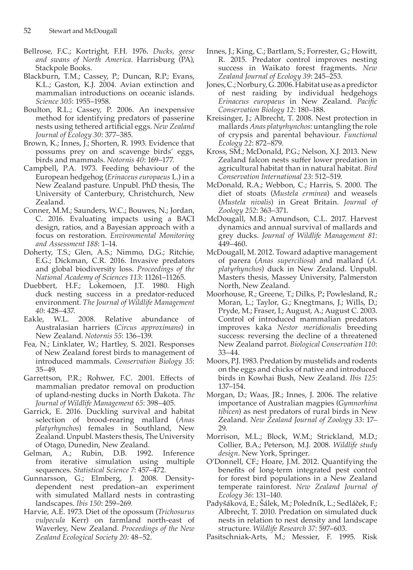- Bellrose, F.C.; Kortright, F.H. 1976. *Ducks, geese and swans of North America*. Harrisburg (PA), Stackpole Books.
- Blackburn, T.M.; Cassey, P.; Duncan, R.P.; Evans, K.L.; Gaston, K.J. 2004. Avian extinction and mammalian introductions on oceanic islands. *Science 305*: 1955–1958.
- Boulton, R.L.; Cassey, P. 2006. An inexpensive method for identifying predators of passerine nests using tethered artificial eggs. *New Zealand Journal of Ecology 30*: 377–385.
- Brown, K.; Innes, J.; Shorten, R. 1993. Evidence that possums prey on and scavenge birds' eggs, birds and mammals. *Notornis 40*: 169–177.
- Campbell, P.A. 1973. Feeding behaviour of the European hedgehog (*Erinaceus europaeus* L.) in a New Zealand pasture. Unpubl. PhD thesis, The University of Canterbury, Christchurch, New Zealand.
- Conner, M.M.; Saunders, W.C.; Bouwes, N.; Jordan, C. 2016. Evaluating impacts using a BACI design, ratios, and a Bayesian approach with a focus on restoration. *Environmental Monitoring and Assessment 188*: 1–14.
- Doherty, T.S.; Glen, A.S.; Nimmo, D.G.; Ritchie, E.G.; Dickman, C.R. 2016. Invasive predators and global biodiversity loss. *Proceedings of the National Academy of Sciences 113*: 11261–11265.
- Duebbert, H.F.; Lokemoen, J.T. 1980. High duck nesting success in a predator-reduced environment. *The Journal of Wildlife Management*
- *40*: 428–437. Eakle, W.L. 2008. Relative abundance of Australasian harriers (*Circus approximans*) in New Zealand. *Notornis 55*: 136–139.
- Fea, N.; Linklater, W.; Hartley, S. 2021. Responses of New Zealand forest birds to management of introduced mammals. *Conservation Biology 35*: 35–49.
- Garrettson, P.R.; Rohwer, F.C. 2001. Effects of mammalian predator removal on production of upland-nesting ducks in North Dakota. *The Journal of Wildlife Management 65*: 398–405.
- Garrick, E. 2016. Duckling survival and habitat selection of brood-rearing mallard (*Anas platyrhynchos*) females in Southland, New Zealand. Unpubl. Masters thesis, The University of Otago, Dunedin, New Zealand.
- Gelman, A.; Rubin, D.B. 1992. Inference from iterative simulation using multiple sequences. *Statistical Science 7*: 457–472.
- Gunnarsson, G.; Elmberg, J. 2008. Density**‐** dependent nest predation–an experiment with simulated Mallard nests in contrasting landscapes. *Ibis 150*: 259–269.
- Harvie, A.E. 1973. Diet of the opossum (*Trichosurus vulpecula* Kerr) on farmland north-east of Waverley, New Zealand. *Proceedings of the New Zealand Ecological Society 20:* 48–52.
- Innes, J.; King, C.; Bartlam, S.; Forrester, G.; Howitt, R. 2015. Predator control improves nesting success in Waikato forest fragments. *New Zealand Journal of Ecology 39*: 245–253.
- Jones, C.; Norbury, G. 2006. Habitat use as a predictor of nest raiding by individual hedgehogs *Erinaceus europaeus* in New Zealand. *Pacific Conservation Biology 12*: 180–188.
- Kreisinger, J.; Albrecht, T. 2008. Nest protection in mallards *Anas platyrhynchos*: untangling the role of crypsis and parental behaviour. *Functional Ecology 22*: 872–879.
- Kross, SM.; McDonald, P.G.; Nelson, X.J. 2013. New Zealand falcon nests suffer lower predation in agricultural habitat than in natural habitat. *Bird Conservation International 23*: 512–519.
- McDonald, R.A.; Webbon, C.; Harris, S. 2000. The diet of stoats (*Mustela erminea*) and weasels (*Mustela nivalis*) in Great Britain. *Journal of Zoology 252*: 363–371.
- McDougall, M.B.; Amundson, C.L. 2017. Harvest dynamics and annual survival of mallards and grey ducks. *Journal of Wildlife Management 81*: 449–460.
- McDougall, M. 2012. Toward adaptive management of parera (*Anas superciliosa*) and mallard (*A. platyrhynchos*) duck in New Zealand. Unpubl. Masters thesis, Massey University, Palmerston North, New Zealand.
- Moorhouse, R.; Greene, T.; Dilks, P.; Powlesland, R.; Moran, L.; Taylor, G.; Knegtmans, J.; Wills, D.; Pryde, M.; Fraser, I.; August, A.; August C. 2003. Control of introduced mammalian predators improves kaka *Nestor meridionalis* breeding success: reversing the decline of a threatened New Zealand parrot. *Biological Conservation 110*: 33–44.
- Moors, P.J. 1983. Predation by mustelids and rodents on the eggs and chicks of native and introduced birds in Kowhai Bush, New Zealand. *Ibis 125*: 137–154.
- Morgan, D.; Waas, JR.; Innes, J. 2006. The relative importance of Australian magpies (*Gymnorhina tibicen*) as nest predators of rural birds in New Zealand. *New Zealand Journal of Zoology 33*: 17– 29.
- Morrison, M.L.; Block, W.M.; Strickland, M.D.; Collier, B.A.; Peterson, M.J. 2008. *Wildlife study design*. New York, Springer.
- O'Donnell, CF.; Hoare, J.M. 2012. Quantifying the benefits of long-term integrated pest control for forest bird populations in a New Zealand temperate rainforest. *New Zealand Journal of Ecology 36*: 131–140.
- Padyšáková, E.; Šálek, M.; Poledník, L.; Sedláček, F.; Albrecht, T. 2010. Predation on simulated duck nests in relation to nest density and landscape structure. *Wildlife Research 37*: 597–603.

Pasitschniak-Arts, M.; Messier, F. 1995. Risk